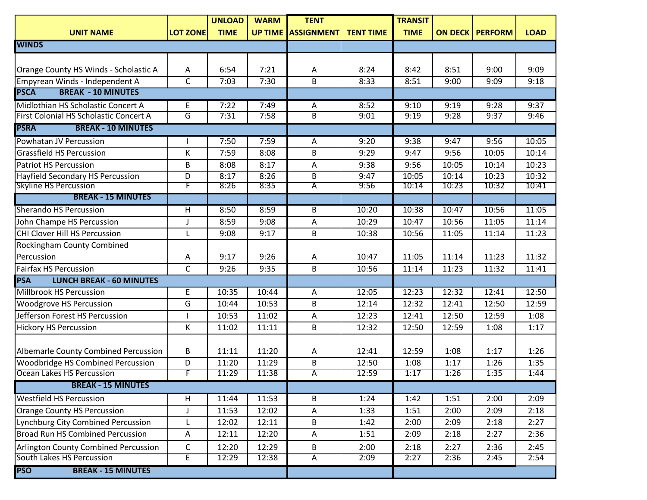|                                               |                         | <b>UNLOAD</b> | <b>WARM</b>    | <b>TENT</b>       |                  | <b>TRANSIT</b> |                |                |             |
|-----------------------------------------------|-------------------------|---------------|----------------|-------------------|------------------|----------------|----------------|----------------|-------------|
| <b>UNIT NAME</b>                              | <b>LOT ZONE</b>         | <b>TIME</b>   | <b>UP TIME</b> | <b>ASSIGNMENT</b> | <b>TENT TIME</b> | <b>TIME</b>    | <b>ON DECK</b> | <b>PERFORM</b> | <b>LOAD</b> |
| <b>WINDS</b>                                  |                         |               |                |                   |                  |                |                |                |             |
|                                               |                         |               |                |                   |                  |                |                |                |             |
| Orange County HS Winds - Scholastic A         | Α                       | 6:54          | 7:21           | Α                 | 8:24             | 8:42           | 8:51           | 9:00           | 9:09        |
| Empyrean Winds - Independent A                | C                       | 7:03          | 7:30           | B                 | 8:33             | 8:51           | 9:00           | 9:09           | 9:18        |
| <b>BREAK - 10 MINUTES</b><br><b>PSCA</b>      |                         |               |                |                   |                  |                |                |                |             |
| Midlothian HS Scholastic Concert A            | E                       | 7:22          | 7:49           | Α                 | 8:52             | 9:10           | 9:19           | 9:28           | 9:37        |
| First Colonial HS Scholastic Concert A        | G                       | 7:31          | 7:58           | $\overline{B}$    | 9:01             | 9:19           | 9:28           | 9:37           | 9:46        |
| <b>PSRA</b><br><b>BREAK - 10 MINUTES</b>      |                         |               |                |                   |                  |                |                |                |             |
| Powhatan JV Percussion                        |                         | 7:50          | 7:59           | A                 | 9:20             | 9:38           | 9:47           | 9:56           | 10:05       |
| <b>Grassfield HS Percussion</b>               | К                       | 7:59          | 8:08           | B                 | 9:29             | 9:47           | 9:56           | 10:05          | 10:14       |
| <b>Patriot HS Percussion</b>                  | B                       | 8:08          | 8:17           | A                 | 9:38             | 9:56           | 10:05          | 10:14          | 10:23       |
| <b>Hayfield Secondary HS Percussion</b>       | D                       | 8:17          | 8:26           | B                 | 9:47             | 10:05          | 10:14          | 10:23          | 10:32       |
| <b>Skyline HS Percussion</b>                  | F                       | 8:26          | 8:35           | Α                 | 9:56             | 10:14          | 10:23          | 10:32          | 10:41       |
| <b>BREAK - 15 MINUTES</b>                     |                         |               |                |                   |                  |                |                |                |             |
| <b>Sherando HS Percussion</b>                 | $\overline{H}$          | 8:50          | 8:59           | B                 | 10:20            | 10:38          | 10:47          | 10:56          | 11:05       |
| John Champe HS Percussion                     |                         | 8:59          | 9:08           | A                 | 10:29            | 10:47          | 10:56          | 11:05          | 11:14       |
| CHI Clover Hill HS Percussion                 |                         | 9:08          | 9:17           | B                 | 10:38            | 10:56          | 11:05          | 11:14          | 11:23       |
| <b>Rockingham County Combined</b>             |                         |               |                |                   |                  |                |                |                |             |
| Percussion                                    | Α                       | 9:17          | 9:26           | A                 | 10:47            | 11:05          | 11:14          | 11:23          | 11:32       |
| <b>Fairfax HS Percussion</b>                  | $\overline{\mathsf{C}}$ | 9:26          | 9:35           | B                 | 10:56            | 11:14          | 11:23          | 11:32          | 11:41       |
| <b>PSA</b><br><b>LUNCH BREAK - 60 MINUTES</b> |                         |               |                |                   |                  |                |                |                |             |
| Millbrook HS Percussion                       | E                       | 10:35         | 10:44          | Α                 | 12:05            | 12:23          | 12:32          | 12:41          | 12:50       |
| <b>Woodgrove HS Percussion</b>                | G                       | 10:44         | 10:53          | B                 | 12:14            | 12:32          | 12:41          | 12:50          | 12:59       |
| Jefferson Forest HS Percussion                |                         | 10:53         | 11:02          | A                 | 12:23            | 12:41          | 12:50          | 12:59          | 1:08        |
| <b>Hickory HS Percussion</b>                  | K                       | 11:02         | 11:11          | B                 | 12:32            | 12:50          | 12:59          | 1:08           | 1:17        |
|                                               |                         |               |                |                   |                  |                |                |                |             |
| Albemarle County Combined Percussion          | B                       | 11:11         | 11:20          | A                 | 12:41            | 12:59          | 1:08           | 1:17           | 1:26        |
| Woodbridge HS Combined Percussion             | D                       | 11:20         | 11:29          | B                 | 12:50            | 1:08           | 1:17           | 1:26           | 1:35        |
| Ocean Lakes HS Percussion                     | F                       | 11:29         | 11:38          | $\overline{A}$    | 12:59            | 1:17           | 1:26           | 1:35           | 1:44        |
| <b>BREAK - 15 MINUTES</b>                     |                         |               |                |                   |                  |                |                |                |             |
| <b>Westfield HS Percussion</b>                | H                       | 11:44         | 11:53          | B                 | 1:24             | 1:42           | 1:51           | 2:00           | 2:09        |
| Orange County HS Percussion                   |                         | 11:53         | 12:02          | A                 | 1:33             | 1:51           | 2:00           | 2:09           | 2:18        |
| Lynchburg City Combined Percussion            |                         | 12:02         | 12:11          | B                 | 1:42             | 2:00           | 2:09           | 2:18           | 2:27        |
| <b>Broad Run HS Combined Percussion</b>       | A                       | 12:11         | 12:20          | A                 | 1:51             | 2:09           | 2:18           | 2:27           | 2:36        |
| Arlington County Combined Percussion          | C                       | 12:20         | 12:29          | B                 | 2:00             | 2:18           | 2:27           | 2:36           | 2:45        |
| South Lakes HS Percussion                     | E                       | 12:29         | 12:38          | $\overline{A}$    | 2:09             | 2:27           | 2:36           | 2:45           | 2:54        |
| <b>BREAK - 15 MINUTES</b><br><b>PSO</b>       |                         |               |                |                   |                  |                |                |                |             |